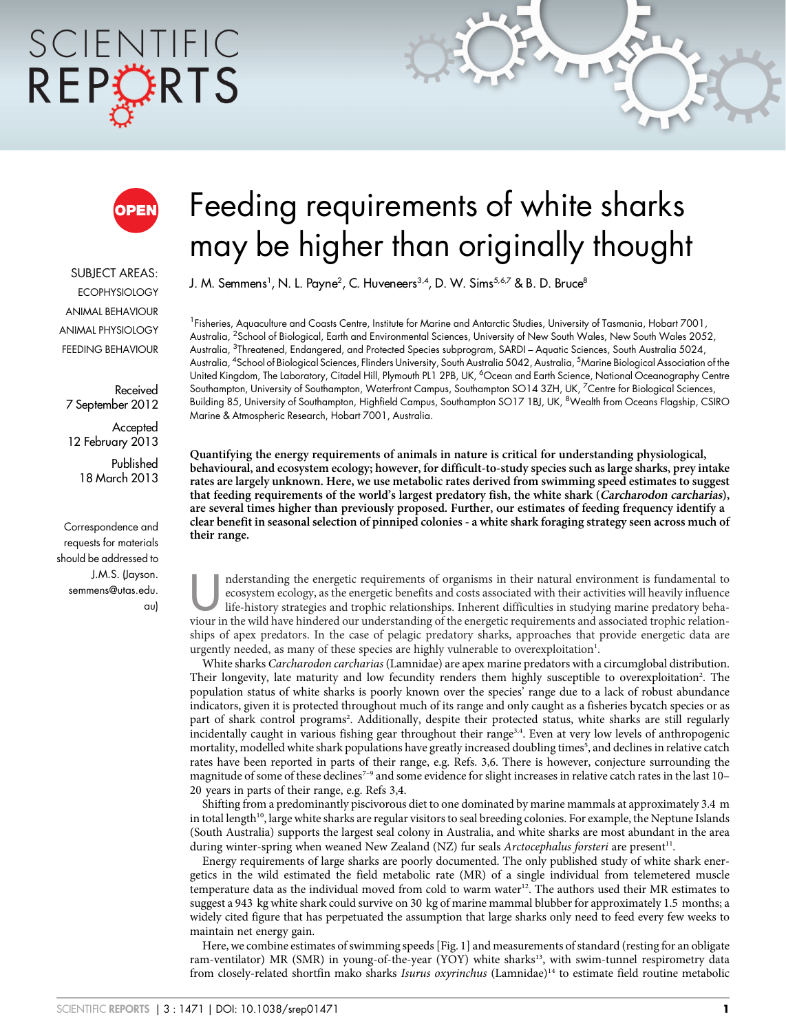# SCIENTIFIC REPORTS



SUBJECT AREAS: **ECOPHYSIOLOGY** ANIMAL BEHAVIOUR ANIMAL PHYSIOLOGY FEEDING BEHAVIOUR

Received 7 September 2012

Accepted 12 February 2013

> Published 18 March 2013

Correspondence and requests for materials should be addressed to J.M.S. (Jayson. semmens@utas.edu. au)

## Feeding requirements of white sharks may be higher than originally thought

J. M. Semmens<sup>1</sup>, N. L. Payne<sup>2</sup>, C. Huveneers<sup>3,4</sup>, D. W. Sims<sup>5,6,7</sup> & B. D. Bruce<sup>8</sup>

<sup>1</sup> Fisheries, Aquaculture and Coasts Centre, Institute for Marine and Antarctic Studies, University of Tasmania, Hobart 7001, Australia, <sup>2</sup>School of Biological, Earth and Environmental Sciences, University of New South Wales, New South Wales 2052, Australia, <sup>3</sup>Threatened, Endangered, and Protected Species subprogram, SARDI – Aquatic Sciences, South Australia 5024, Australia, <sup>4</sup>School of Biological Sciences, Flinders University, South Australia 5042, Australia, <sup>5</sup>Marine Biological Association of the United Kingdom, The Laboratory, Citadel Hill, Plymouth PL1 2PB, UK, <sup>6</sup>Ocean and Earth Science, National Oceanography Centre Southampton, University of Southampton, Waterfront Campus, Southampton SO14 3ZH, UK, <sup>7</sup> Centre for Biological Sciences, Building 85, University of Southampton, Highfield Campus, Southampton SO17 1BJ, UK, <sup>8</sup>Wealth from Oceans Flagship, CSIRO Marine & Atmospheric Research, Hobart 7001, Australia.

Quantifying the energy requirements of animals in nature is critical for understanding physiological, behavioural, and ecosystem ecology; however, for difficult-to-study species such as large sharks, prey intake rates are largely unknown. Here, we use metabolic rates derived from swimming speed estimates to suggest that feeding requirements of the world's largest predatory fish, the white shark (Carcharodon carcharias), are several times higher than previously proposed. Further, our estimates of feeding frequency identify a clear benefit in seasonal selection of pinniped colonies - a white shark foraging strategy seen across much of their range.

nderstanding the energetic requirements of organisms in their natural environment is fundamental to ecosystem ecology, as the energetic benefits and costs associated with their activities will heavily influence life-histor ecosystem ecology, as the energetic benefits and costs associated with their activities will heavily influence viour in the wild have hindered our understanding of the energetic requirements and associated trophic relationships of apex predators. In the case of pelagic predatory sharks, approaches that provide energetic data are urgently needed, as many of these species are highly vulnerable to overexploitation<sup>1</sup>.

White sharks Carcharodon carcharias (Lamnidae) are apex marine predators with a circumglobal distribution. Their longevity, late maturity and low fecundity renders them highly susceptible to overexploitation<sup>2</sup>. The population status of white sharks is poorly known over the species' range due to a lack of robust abundance indicators, given it is protected throughout much of its range and only caught as a fisheries bycatch species or as part of shark control programs<sup>2</sup>. Additionally, despite their protected status, white sharks are still regularly incidentally caught in various fishing gear throughout their range<sup>3,4</sup>. Even at very low levels of anthropogenic mortality, modelled white shark populations have greatly increased doubling times<sup>5</sup>, and declines in relative catch rates have been reported in parts of their range, e.g. Refs. 3,6. There is however, conjecture surrounding the magnitude of some of these declines<sup>7-9</sup> and some evidence for slight increases in relative catch rates in the last 10-20 years in parts of their range, e.g. Refs 3,4.

Shifting from a predominantly piscivorous diet to one dominated by marine mammals at approximately 3.4 m in total length<sup>10</sup>, large white sharks are regular visitors to seal breeding colonies. For example, the Neptune Islands (South Australia) supports the largest seal colony in Australia, and white sharks are most abundant in the area during winter-spring when weaned New Zealand (NZ) fur seals Arctocephalus forsteri are present<sup>11</sup>.

Energy requirements of large sharks are poorly documented. The only published study of white shark energetics in the wild estimated the field metabolic rate (MR) of a single individual from telemetered muscle temperature data as the individual moved from cold to warm water<sup>12</sup>. The authors used their MR estimates to suggest a 943 kg white shark could survive on 30 kg of marine mammal blubber for approximately 1.5 months; a widely cited figure that has perpetuated the assumption that large sharks only need to feed every few weeks to maintain net energy gain.

Here, we combine estimates of swimming speeds [Fig. 1] and measurements of standard (resting for an obligate ram-ventilator) MR (SMR) in young-of-the-year (YOY) white sharks<sup>13</sup>, with swim-tunnel respirometry data from closely-related shortfin mako sharks Isurus oxyrinchus (Lamnidae)14 to estimate field routine metabolic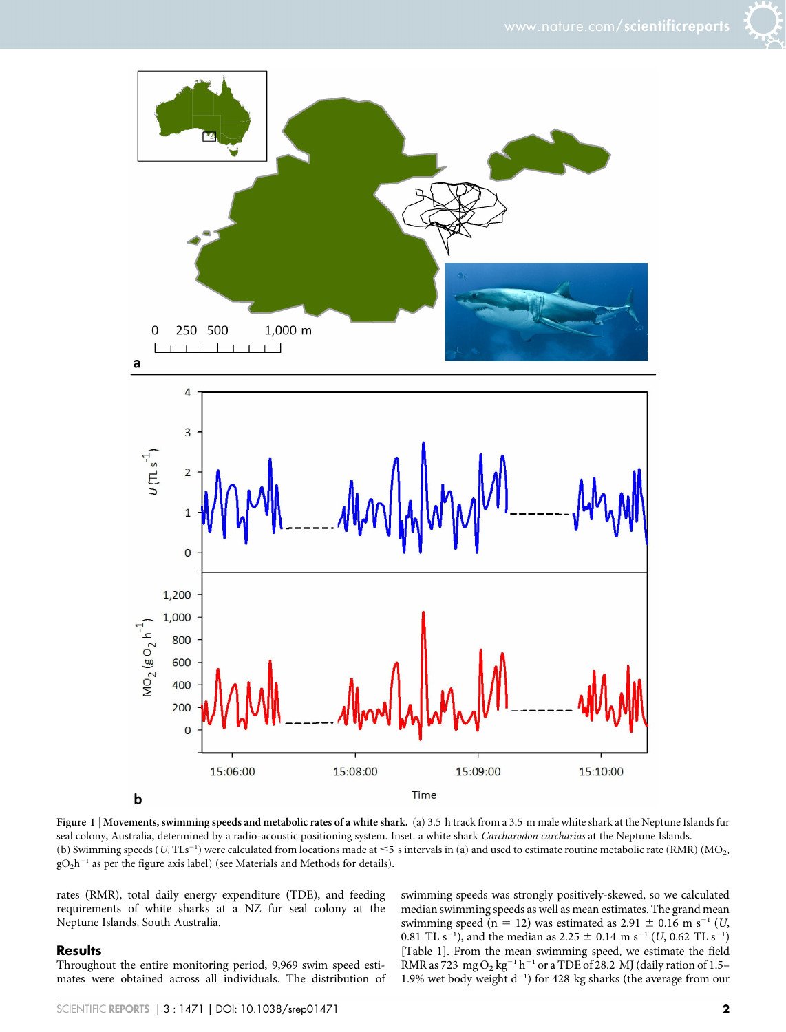

Figure 1 | Movements, swimming speeds and metabolic rates of a white shark. (a) 3.5 h track from a 3.5 m male white shark at the Neptune Islands fur seal colony, Australia, determined by a radio-acoustic positioning system. Inset. a white shark Carcharodon carcharias at the Neptune Islands. (b) Swimming speeds (U, TLs<sup>-1</sup>) were calculated from locations made at  $\leq$ 5 s intervals in (a) and used to estimate routine metabolic rate (RMR) (MO<sub>2</sub>,  $gO_2h^{-1}$  as per the figure axis label) (see Materials and Methods for details).

rates (RMR), total daily energy expenditure (TDE), and feeding requirements of white sharks at a NZ fur seal colony at the Neptune Islands, South Australia.

#### Results

Throughout the entire monitoring period, 9,969 swim speed estimates were obtained across all individuals. The distribution of swimming speeds was strongly positively-skewed, so we calculated median swimming speeds as well as mean estimates. The grand mean swimming speed (n = 12) was estimated as 2.91  $\pm$  0.16 m s<sup>-1</sup> (U, 0.81 TL s<sup>-1</sup>), and the median as 2.25  $\pm$  0.14 m s<sup>-1</sup> (*U*, 0.62 TL s<sup>-1</sup>) [Table 1]. From the mean swimming speed, we estimate the field RMR as 723 mg  $O_2$  kg<sup>-1</sup> h<sup>-1</sup> or a TDE of 28.2 MJ (daily ration of 1.5– 1.9% wet body weight  $d^{-1}$ ) for 428 kg sharks (the average from our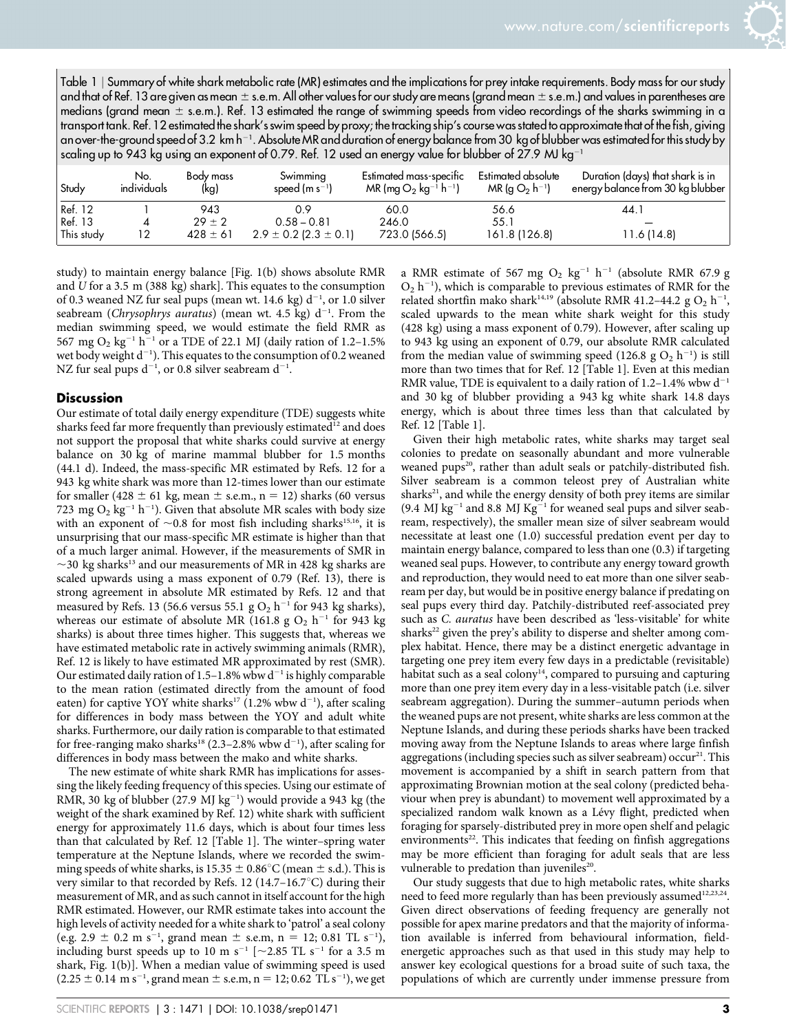Table 1 <sup>|</sup> Summary of white shark metabolic rate (MR) estimates and the implications for prey intake requirements. Body mass for our study and that of Ref. 13 are given as mean  $\pm$  s.e.m. All other values for our study are means (grand mean  $\pm$  s.e.m.) and values in parentheses are medians (grand mean  $\pm$  s.e.m.). Ref. 13 estimated the range of swimming speeds from video recordings of the sharks swimming in a transport tank. Ref. 12 estimated the shark's swim speed by proxy; the tracking ship's course was stated to approximate that of the fish, giving an over-the-ground speed of 3.2 km h $^{\rm -1}$ . Absolute MR and duration of energy balance from 30 kg of blubber was estimated for this study by scaling up to 943 kg using an exponent of 0.79. Ref. 12 used an energy value for blubber of 27.9 MJ kg<sup>-1</sup>

| ⊢Study     | No.<br>individuals | Body mass<br>(kq) | Swimming<br>speed (m $s^{-1}$ ) | Estimated mass-specific<br>MR (mg $O_2$ kg <sup>-1</sup> h <sup>-1</sup> ) | Estimated absolute<br>$MR(g O_2 h^{-1})$ | Duration (days) that shark is in<br>energy balance from 30 kg blubber |
|------------|--------------------|-------------------|---------------------------------|----------------------------------------------------------------------------|------------------------------------------|-----------------------------------------------------------------------|
| Ref. 12    |                    | 943               | 0.9                             | 60.0                                                                       | 56.6                                     | 44.1                                                                  |
| Ref. 13    |                    | $29 \pm 2$        | $0.58 - 0.81$                   | 246.0                                                                      | 55.1                                     |                                                                       |
| This study |                    | $428 \pm 61$      | $2.9 \pm 0.2$ (2.3 $\pm$ 0.1)   | 723.0 (566.5)                                                              | 161.8 (126.8)                            | 11.6(14.8)                                                            |

study) to maintain energy balance [Fig. 1(b) shows absolute RMR and U for a 3.5 m (388 kg) shark]. This equates to the consumption of 0.3 weaned NZ fur seal pups (mean wt. 14.6 kg)  $d^{-1}$ , or 1.0 silver seabream (Chrysophrys auratus) (mean wt. 4.5 kg)  $d^{-1}$ . From the median swimming speed, we would estimate the field RMR as 567 mg O<sub>2</sub> kg<sup>-1</sup> h<sup>-1</sup> or a TDE of 22.1 MJ (daily ration of 1.2-1.5%) wet body weight  $d^{-1}$ ). This equates to the consumption of 0.2 weaned NZ fur seal pups  $\rm{d^{-1}}$ , or 0.8 silver seabream  $\rm{d^{-1}}$ .

### Discussion

Our estimate of total daily energy expenditure (TDE) suggests white sharks feed far more frequently than previously estimated $^{12}$  and does not support the proposal that white sharks could survive at energy balance on 30 kg of marine mammal blubber for 1.5 months (44.1 d). Indeed, the mass-specific MR estimated by Refs. 12 for a 943 kg white shark was more than 12-times lower than our estimate for smaller (428  $\pm$  61 kg, mean  $\pm$  s.e.m., n = 12) sharks (60 versus 723 mg  $O_2$  kg<sup>-1</sup> h<sup>-1</sup>). Given that absolute MR scales with body size with an exponent of  $\sim$ 0.8 for most fish including sharks<sup>15,16</sup>, it is unsurprising that our mass-specific MR estimate is higher than that of a much larger animal. However, if the measurements of SMR in  $\sim$ 30 kg sharks<sup>13</sup> and our measurements of MR in 428 kg sharks are scaled upwards using a mass exponent of 0.79 (Ref. 13), there is strong agreement in absolute MR estimated by Refs. 12 and that measured by Refs. 13 (56.6 versus 55.1 g  $O_2$  h<sup>-1</sup> for 943 kg sharks), whereas our estimate of absolute MR (161.8 g  $O_2$  h<sup>-1</sup> for 943 kg sharks) is about three times higher. This suggests that, whereas we have estimated metabolic rate in actively swimming animals (RMR), Ref. 12 is likely to have estimated MR approximated by rest (SMR). Our estimated daily ration of 1.5–1.8% wbw  $d^{-1}$  is highly comparable to the mean ration (estimated directly from the amount of food eaten) for captive YOY white sharks<sup>17</sup> (1.2% wbw  $d^{-1}$ ), after scaling for differences in body mass between the YOY and adult white sharks. Furthermore, our daily ration is comparable to that estimated for free-ranging mako sharks<sup>18</sup> (2.3–2.8% wbw  $d^{-1}$ ), after scaling for differences in body mass between the mako and white sharks.

The new estimate of white shark RMR has implications for assessing the likely feeding frequency of this species. Using our estimate of RMR, 30 kg of blubber (27.9 MJ  $kg^{-1}$ ) would provide a 943 kg (the weight of the shark examined by Ref. 12) white shark with sufficient energy for approximately 11.6 days, which is about four times less than that calculated by Ref. 12 [Table 1]. The winter–spring water temperature at the Neptune Islands, where we recorded the swimming speeds of white sharks, is  $15.35 \pm 0.86^{\circ}$ C (mean  $\pm$  s.d.). This is very similar to that recorded by Refs. 12 (14.7–16.7 $\degree$ C) during their measurement of MR, and as such cannot in itself account for the high RMR estimated. However, our RMR estimate takes into account the high levels of activity needed for a white shark to 'patrol' a seal colony (e.g.  $2.9 \pm 0.2$  m s<sup>-1</sup>, grand mean  $\pm$  s.e.m, n = 12; 0.81 TL s<sup>-1</sup>), including burst speeds up to 10 m s<sup>-1</sup> [ $\sim$ 2.85 TL s<sup>-1</sup> for a 3.5 m shark, Fig. 1(b)]. When a median value of swimming speed is used  $(2.25 \pm 0.14 \text{ m s}^{-1}, \text{grand mean} \pm \text{s.e.m}, n = 12; 0.62 \text{ TL s}^{-1}),$  we get

a RMR estimate of 567 mg  $O_2$  kg<sup>-1</sup> h<sup>-1</sup> (absolute RMR 67.9 g  $O_2$  h<sup>-1</sup>), which is comparable to previous estimates of RMR for the related shortfin mako shark<sup>14,19</sup> (absolute RMR 41.2–44.2 g  $O_2$  h<sup>-1</sup>, scaled upwards to the mean white shark weight for this study (428 kg) using a mass exponent of 0.79). However, after scaling up to 943 kg using an exponent of 0.79, our absolute RMR calculated from the median value of swimming speed (126.8 g  $O_2$  h<sup>-1</sup>) is still more than two times that for Ref. 12 [Table 1]. Even at this median RMR value, TDE is equivalent to a daily ration of  $1.2-1.4\%$  wbw  $d^{-1}$ and 30 kg of blubber providing a 943 kg white shark 14.8 days energy, which is about three times less than that calculated by Ref. 12 [Table 1].

Given their high metabolic rates, white sharks may target seal colonies to predate on seasonally abundant and more vulnerable weaned pups<sup>20</sup>, rather than adult seals or patchily-distributed fish. Silver seabream is a common teleost prey of Australian white sharks $21$ , and while the energy density of both prey items are similar (9.4 MJ kg<sup>-1</sup> and 8.8 MJ Kg<sup>-1</sup> for weaned seal pups and silver seabream, respectively), the smaller mean size of silver seabream would necessitate at least one (1.0) successful predation event per day to maintain energy balance, compared to less than one (0.3) if targeting weaned seal pups. However, to contribute any energy toward growth and reproduction, they would need to eat more than one silver seabream per day, but would be in positive energy balance if predating on seal pups every third day. Patchily-distributed reef-associated prey such as C. auratus have been described as 'less-visitable' for white sharks<sup>22</sup> given the prey's ability to disperse and shelter among complex habitat. Hence, there may be a distinct energetic advantage in targeting one prey item every few days in a predictable (revisitable) habitat such as a seal colony<sup>14</sup>, compared to pursuing and capturing more than one prey item every day in a less-visitable patch (i.e. silver seabream aggregation). During the summer–autumn periods when the weaned pups are not present, white sharks are less common at the Neptune Islands, and during these periods sharks have been tracked moving away from the Neptune Islands to areas where large finfish aggregations (including species such as silver seabream) occur<sup>21</sup>. This movement is accompanied by a shift in search pattern from that approximating Brownian motion at the seal colony (predicted behaviour when prey is abundant) to movement well approximated by a specialized random walk known as a Lévy flight, predicted when foraging for sparsely-distributed prey in more open shelf and pelagic environments<sup>22</sup>. This indicates that feeding on finfish aggregations may be more efficient than foraging for adult seals that are less vulnerable to predation than juveniles<sup>20</sup>.

Our study suggests that due to high metabolic rates, white sharks need to feed more regularly than has been previously assumed<sup>12,23,24</sup>. Given direct observations of feeding frequency are generally not possible for apex marine predators and that the majority of information available is inferred from behavioural information, fieldenergetic approaches such as that used in this study may help to answer key ecological questions for a broad suite of such taxa, the populations of which are currently under immense pressure from